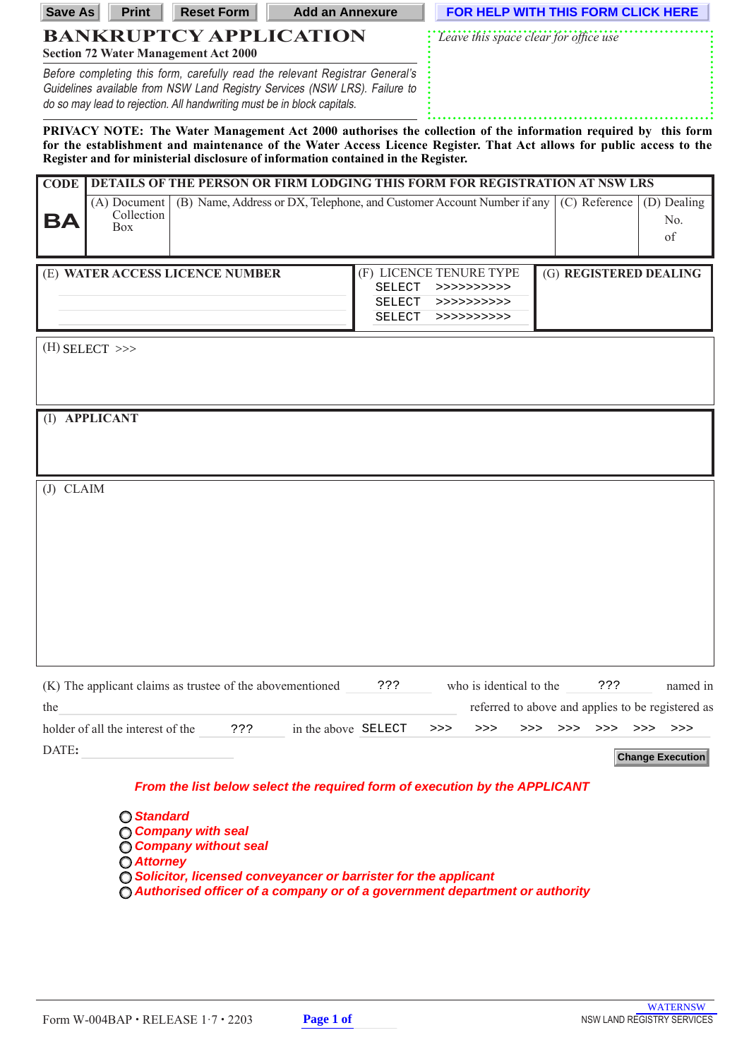| <b>Save As</b>                                                                                                                                                                                                                                                                                                              | <b>Print</b>                             | <b>Reset Form</b>                                                                                                                                                                                                                     | <b>Add an Annexure</b>                                                 |                                | FOR HELP WITH THIS FORM CLICK HERE |                                                                              |                        |               |                          |          |
|-----------------------------------------------------------------------------------------------------------------------------------------------------------------------------------------------------------------------------------------------------------------------------------------------------------------------------|------------------------------------------|---------------------------------------------------------------------------------------------------------------------------------------------------------------------------------------------------------------------------------------|------------------------------------------------------------------------|--------------------------------|------------------------------------|------------------------------------------------------------------------------|------------------------|---------------|--------------------------|----------|
| <b>BANKRUPTCY APPLICATION</b><br><b>Section 72 Water Management Act 2000</b>                                                                                                                                                                                                                                                |                                          |                                                                                                                                                                                                                                       |                                                                        |                                |                                    | Leave this space clear for office use                                        |                        |               |                          |          |
|                                                                                                                                                                                                                                                                                                                             |                                          | Before completing this form, carefully read the relevant Registrar General's<br>Guidelines available from NSW Land Registry Services (NSW LRS). Failure to<br>do so may lead to rejection. All handwriting must be in block capitals. |                                                                        |                                |                                    |                                                                              |                        |               |                          |          |
| PRIVACY NOTE: The Water Management Act 2000 authorises the collection of the information required by this form<br>for the establishment and maintenance of the Water Access Licence Register. That Act allows for public access to the<br>Register and for ministerial disclosure of information contained in the Register. |                                          |                                                                                                                                                                                                                                       |                                                                        |                                |                                    |                                                                              |                        |               |                          |          |
| <b>CODE</b>                                                                                                                                                                                                                                                                                                                 |                                          | DETAILS OF THE PERSON OR FIRM LODGING THIS FORM FOR REGISTRATION AT NSW LRS                                                                                                                                                           |                                                                        |                                |                                    |                                                                              |                        |               |                          |          |
| BA                                                                                                                                                                                                                                                                                                                          | (A) Document<br>Collection<br><b>Box</b> |                                                                                                                                                                                                                                       | (B) Name, Address or DX, Telephone, and Customer Account Number if any |                                |                                    |                                                                              |                        | (C) Reference | (D) Dealing<br>No.<br>of |          |
|                                                                                                                                                                                                                                                                                                                             |                                          | (E) WATER ACCESS LICENCE NUMBER                                                                                                                                                                                                       |                                                                        | (F) LICENCE TENURE TYPE        |                                    |                                                                              | (G) REGISTERED DEALING |               |                          |          |
|                                                                                                                                                                                                                                                                                                                             |                                          |                                                                                                                                                                                                                                       |                                                                        | <b>SELECT</b><br><b>SELECT</b> |                                    | >>>>>>>>>>>                                                                  |                        |               |                          |          |
|                                                                                                                                                                                                                                                                                                                             |                                          |                                                                                                                                                                                                                                       |                                                                        | <b>SELECT</b>                  |                                    | >>>>>>>>>>><br>>>>>>>>>>>>                                                   |                        |               |                          |          |
|                                                                                                                                                                                                                                                                                                                             | (I) APPLICANT                            |                                                                                                                                                                                                                                       |                                                                        |                                |                                    |                                                                              |                        |               |                          |          |
| $(J)$ CLAIM                                                                                                                                                                                                                                                                                                                 |                                          |                                                                                                                                                                                                                                       |                                                                        |                                |                                    |                                                                              |                        |               |                          |          |
|                                                                                                                                                                                                                                                                                                                             |                                          |                                                                                                                                                                                                                                       |                                                                        |                                |                                    |                                                                              |                        |               |                          |          |
|                                                                                                                                                                                                                                                                                                                             |                                          |                                                                                                                                                                                                                                       |                                                                        |                                |                                    |                                                                              |                        |               |                          |          |
|                                                                                                                                                                                                                                                                                                                             |                                          |                                                                                                                                                                                                                                       |                                                                        |                                |                                    |                                                                              |                        |               |                          |          |
|                                                                                                                                                                                                                                                                                                                             |                                          |                                                                                                                                                                                                                                       |                                                                        |                                |                                    |                                                                              |                        |               |                          |          |
| the                                                                                                                                                                                                                                                                                                                         |                                          | (K) The applicant claims as trustee of the abovementioned                                                                                                                                                                             |                                                                        | 3.5.5                          |                                    | who is identical to the<br>referred to above and applies to be registered as |                        | ???           |                          | named in |
|                                                                                                                                                                                                                                                                                                                             | holder of all the interest of the        | ???                                                                                                                                                                                                                                   | in the above SELECT                                                    |                                | >>>                                | >><br>>>                                                                     | >>>                    | >>            | $>>>$ >>>                |          |
| DATE:                                                                                                                                                                                                                                                                                                                       |                                          |                                                                                                                                                                                                                                       |                                                                        |                                |                                    |                                                                              |                        |               | <b>Change Execution</b>  |          |
|                                                                                                                                                                                                                                                                                                                             |                                          | From the list below select the required form of execution by the APPLICANT                                                                                                                                                            |                                                                        |                                |                                    |                                                                              |                        |               |                          |          |

**Standard Company with seal Company without seal Attorney Solicitor, licensed conveyancer or barrister for the applicant Authorised officer of a company or of a government department or authority**